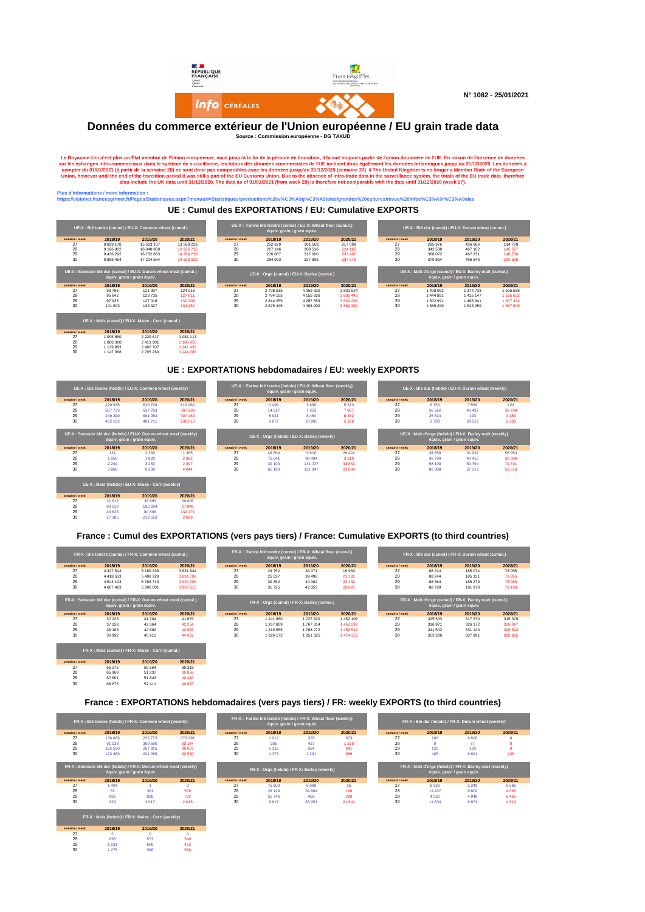

## **Données du commerce extérieur de l'Union européenne / EU grain trade data Source : Commission européenne - DG TAXUD**

**Le Royaume-Uni n'est plus un État membre de l'Union européenne, mais jusqu'à la fin de la période de transition, il faisait toujours partie de l'union douanière de l'UE. En raison de l'absence de données**  sur les échanges intra-commerciaux dans le système de surveillance, les totaux des données commerciales de l'UE incluent donc également les données britanniques jusqu'au 31/12/2020. Les données à compter du 01/01/2021 (à partir de la semaine 28) ne sont donc pas comparables avec les données jusqu'au 31/12/2020 (semaine 27). // The United Kingdom is no longer a Member State of the European Union, however until the end of the transition period it was still a part of the EU Customs Union. Due to the absence of intra-trade data in the surveillance system, the totals of the EU trade data therefore **also include the UK data until 31/12/2020. The data as of 01/01/2021 (from week 28) is therefore not comparable with the data until 31/12/2020 (week 27).**

#### **Printing information in the information of the interior interior in the interior in the interior in the interior in the interior in the interior in the interior in the interior in the interior in the interior in the inter**

**semaine / week 2018/19 2019/20 2020/21** 27 1 005 850 2 229 617 1 081 113 28 1 086 360 2 411 901 1 108 958 29 1 129 983 2 492 707 1 241 430 30 1 147 368 2 705 260 1 244 087

**semaine / week 2018/19 2019/20 2020/21** 27 65 275 50 664 39 318 28 65 969 51 237 39 858 29 67 601 51 843 40 310 30 68 875 52 411 40 876

**semaine / week 2018/19 2019/20 2020/21** 27 5 0 0 28 695 573 540 29 1 631 606 452 30 1 275 568 566

**UE : Cumul des EXPORTATIONS / EU: Cumulative EXPORTS**

**https://visionet.franceagrimer.fr/Pages/Statistiques.aspx?menuurl=Statistiques/productions%20v%C3%A9g%C3%A9tales/grandes%20cultures/revue%20Infoc%C3%A9r%C3%A9ales**

|                |                  | UE-X : Blé tendre (cumul) / EU-X: Common wheat (cumul.)          |            |                |                             | UE-X : Farine blé tendre (cumul) / EU-X: Wheat flour (cumul.) |                      |                |           | UE-X : Blé dur (cumul) / EU-X: Durum wheat (cumul.)    |           |
|----------------|------------------|------------------------------------------------------------------|------------|----------------|-----------------------------|---------------------------------------------------------------|----------------------|----------------|-----------|--------------------------------------------------------|-----------|
|                |                  |                                                                  |            |                | équiv. grain / grain equiv. |                                                               |                      |                |           |                                                        |           |
| semaine / week | 2018/19          | 2019/20                                                          | 2020/21    | semaine / week | 2018/19                     | 2019/20                                                       | 2020/21              | semaine / week | 2018/19   | 2019/20                                                | 2020/21   |
| 27             | 8 8 29 1 7 8     | 15 503 107                                                       | 13 569 233 | 27             | 252 629                     | 301 163                                                       | 217 098              | 27             | 285 976   | 426 666                                                | 114769    |
| 28             | 9 186 902        | 16 040 869                                                       | 13 956 735 | 28             | 267 146                     | 308 516                                                       | 224 165              | 28             | 342 538   | 467 102                                                | 145 567   |
| 29             | 9 436 292        | 16 732 853                                                       | 14 264 219 | 29             | 276 087                     | 317 000                                                       | 232 497              | 29             | 368 072   | 467 231                                                | 148 750   |
| 30             | 9 8 8 8 4 5 4    | 17 214 564                                                       | 14 503 029 | 30             | 284 963                     | 327 906                                                       | 237 675              | 30             | 370 864   | 496 543                                                | 150 958   |
|                |                  | UE-X : Semoule blé dur (cumul) / EU-X: Durum wheat meal (cumul.) |            |                |                             | UE-X: Orge (cumul) / EU-X: Barley (cumul.)                    |                      |                |           | UE-X: Malt d'orge (cumul) / EU-X: Barley malt (cumul.) |           |
| semaine / week |                  | équiv. grain / grain équiv.                                      | 2020/21    | semaine / week |                             |                                                               |                      | semaine / week | 2018/19   | équiv. grain / grain equiv.<br>2019/20                 | 2020/21   |
| 27             | 2018/19<br>93786 | 2019/20<br>121 907                                               | 124 918    | 27             | 2018/19<br>2708515          | 2019/20<br>4 0 59 3 32                                        | 2020/21<br>3 801 924 | 27             | 1408092   | 1 374 733                                              | 1505588   |
| 28             | 95 642           | 123 735                                                          | 127811     | 28             | 2784 155                    | 4 155 826                                                     | 3 805 443            | 28             | 1 444 891 | 1415147                                                | 1.535.622 |
| 29             | 97 935           | 127 018                                                          | 130 208    | 29             | 2814255                     | 4 287 553                                                     | 3839296              | 29             | 1502991   | 1 465 941                                              | 1607324   |
| 30             | 101 903          | 133 327                                                          | 134 252    | 30             | 2875445                     | 4 4 0 8 9 0 0                                                 | 3862390              | 30             | 1589299   | 1523259                                                | 1657840   |

## **UE : EXPORTATIONS hebdomadaires / EU: weekly EXPORTS**

|                |                             | UE-X : Blé tendre (hebdo) / EU-X: Common wheat (weekly)          |         |                |         | UE-X : Farine blé tendre (hebdo) / EU-X: Wheat flour (weekly)<br>équiv. grain / grain equiv. |         |                |         | UE-X : Blé dur (hebdo) / EU-X: Durum wheat (weekly)                                   |         |
|----------------|-----------------------------|------------------------------------------------------------------|---------|----------------|---------|----------------------------------------------------------------------------------------------|---------|----------------|---------|---------------------------------------------------------------------------------------|---------|
| semaine / week | 2018/19                     | 2019/20                                                          | 2020/21 | semaine / week | 2018/19 | 2019/20                                                                                      | 2020/21 | semaine / week | 2018/19 | 2019/20                                                                               | 2020/21 |
| 27             | 120 935                     | 610709                                                           | 619 260 | 27             | 1496    | 3699                                                                                         | 5 3 7 3 | 27             | 6750    | 7556                                                                                  | 122     |
| 28             | 357 723                     | 537 763                                                          | 387 503 | 28             | 14517   | 7 3 5 3                                                                                      | 7 0 67  | 28             | 56 562  | 40 437                                                                                | 30798   |
| 29             | 249 390                     | 691 984                                                          | 307 483 | 29             | 8941    | 8 4 8 4                                                                                      | 8 3 3 2 | 29             | 25 5 34 | 129                                                                                   | 3 1 8 3 |
| 30             | 452 162                     | 481 711                                                          | 238 810 | 30             | 8877    | 10 905                                                                                       | 5 1 7 8 | 30             | 2793    | 29 31 2                                                                               | 2 2 0 8 |
|                | équiv. grain / grain équiv. | UE-X : Semoule blé dur (hebdo) / EU-X: Durum wheat meal (weekly) |         |                |         | UE-X: Orge (hebdo) / EU-X: Barley (weekly)                                                   |         |                |         | UE-X: Malt d'orge (hebdo) / EU-X: Barley malt (weekly)<br>équiv. grain / grain equiv. |         |
| semaine / week | 2018/19                     | 2019/20                                                          | 2020/21 | semaine / week | 2018/19 | 2019/20                                                                                      | 2020/21 | semaine / week | 2018/19 | 2019/20                                                                               | 2020/21 |
| 27             | 131                         | 2 3 5 9                                                          | 1 3 6 5 | 27             | 49 654  | 9616                                                                                         | 26 4 24 | 27             | 38 659  | 31 037                                                                                | 56 954  |
| 28             | 1856                        | 1828                                                             | 2892    | 28             | 75 641  | 96 494                                                                                       | 3519    | 28             | 36799   | 40 415                                                                                | 30 0 34 |
| 29             | 2 2 9 4                     | 3 2 8 3                                                          | 2 3 9 7 | 29             | 30 100  | 131 727                                                                                      | 33 853  | 29             | 58 100  | 50794                                                                                 | 71 701  |
| 30             | 3968                        | 6 3 0 9                                                          | 4 0 4 4 | 30             | 61 190  | 121 347                                                                                      | 23 094  | 30             | 86 30 8 | 57 319                                                                                | 50 516  |
|                |                             | UE-X: Maïs (hebdo) / EU-X: Maize - Corn (weekly)                 |         |                |         |                                                                                              |         |                |         |                                                                                       |         |
| semaine / week | 2018/19                     | 2019/20                                                          | 2020/21 |                |         |                                                                                              |         |                |         |                                                                                       |         |
| 27             | 21 612                      | 38 895                                                           | 36 895  |                |         |                                                                                              |         |                |         |                                                                                       |         |
| 28             | 80 510                      | 182 284                                                          | 27846   |                |         |                                                                                              |         |                |         |                                                                                       |         |
| 29             | 43 623                      | 80 80 6                                                          | 132 471 |                |         |                                                                                              |         |                |         |                                                                                       |         |
| 30             | 17 3 8 5                    | 212 553                                                          | 2658    |                |         |                                                                                              |         |                |         |                                                                                       |         |

## **France : Cumul des EXPORTATIONS (vers pays tiers) / France: Cumulative EXPORTS (to third countries)**

|                      |               | FR-X : Blé tendre (cumul) / FR-X: Common wheat (cumul.)                                         |               |                | FR-X : Farine blé tendre (cumul) / FR-X: Wheat flour (cumul.)<br>équiv. grain / grain equiv. |          |          |                |         | FR-X : Blé dur (cumul) / FR-X: Durum wheat (cumul.)                                   |                               |
|----------------------|---------------|-------------------------------------------------------------------------------------------------|---------------|----------------|----------------------------------------------------------------------------------------------|----------|----------|----------------|---------|---------------------------------------------------------------------------------------|-------------------------------|
| semaine / week       | 2018/19       | 2019/20                                                                                         | 2020/21       | semaine / week | 2018/19                                                                                      | 2019/20  | 2020/21  | semaine / week | 2018/19 | 2019/20                                                                               | 2020/21                       |
| 27                   | 4 3 2 7 5 1 4 | 5 189 339                                                                                       | 3 8 3 1 6 4 4 | 27             | 24 7 5 2                                                                                     | 39 0 71  | 19 963   | 27             | 88 244  | 185 074                                                                               | 78 055                        |
| 28                   | 4418553       | 5498929                                                                                         | 3891788       | 28             | 25 037                                                                                       | 39 4 98  | 21 191   | 28             | 88 244  | 185 151                                                                               | 78 055                        |
| 29                   | 4544 103      | 5766743                                                                                         | 3930796       | 29             | 30 352                                                                                       | 40 062   | 22 13 2  | 29             | 88 364  | 185 279                                                                               | 78 055                        |
| 30                   | 4 667 463     | 5990801                                                                                         | 3963315       | 30             | 31 725                                                                                       | 42 3 53  | 22821    | 30             | 88 769  | 191 970                                                                               | 78 183                        |
|                      |               | FR-X : Semoule blé dur (cumul) / FR-X: Durum wheat meal (cumul.)<br>équiv. grain / grain équiv. |               |                | FR-X: Orge (cumul) / FR-X: Barley (cumul.)                                                   |          |          |                |         | FR-X: Malt d'orge (cumul) / FR-X: Barley malt (cumul.)<br>équiv. grain / grain equiv. |                               |
|                      | 2018/19       | 2019/20                                                                                         | 2020/21       | semaine / week | 2018/19                                                                                      | 2019/20  | 2020/21  | semaine / week | 2018/19 | 2019/20                                                                               |                               |
| 27                   | 37 225        | 41704                                                                                           | 41 675        | 27             | 1 241 680                                                                                    | 1727820  | 1452 106 | 27             | 325 533 | 317 370                                                                               |                               |
| 28                   | 37 258        | 42 064                                                                                          | 42 254        | 28             | 1 267 809                                                                                    | 1767814  | 1452292  | 28             | 336 971 | 326 172                                                                               | 2020/21<br>315 379<br>320 047 |
| 29                   | 38 163        | 42 892                                                                                          | 42976         | 29             | 1 319 555                                                                                    | 1768 272 | 1452512  | 29             | 341 502 | 331 120                                                                               | 326 512                       |
| semaine / week<br>30 | 38 992        | 45 910                                                                                          | 44 992        | 30             | 1 326 172                                                                                    | 1851325  | 1474353  | 30             | 353 336 | 337991                                                                                |                               |

## **France : EXPORTATIONS hebdomadaires (vers pays tiers) / FR: weekly EXPORTS (to third countries)**

| FR-X : Blé tendre (hebdo) / FR-X: Common wheat (weekly) |                             |                                                                             |         |                | FR-X : Farine blé tendre (hebdo) / FR-X: Wheat flour (weekly)<br>équiv. grain / grain equiv. |                                            |         |                | FR-X : Blé dur (hebdo) / FR-X: Durum wheat (weekly) |                                                                 |         |  |
|---------------------------------------------------------|-----------------------------|-----------------------------------------------------------------------------|---------|----------------|----------------------------------------------------------------------------------------------|--------------------------------------------|---------|----------------|-----------------------------------------------------|-----------------------------------------------------------------|---------|--|
| semaine / week                                          | 2018/19                     | 2019/20                                                                     | 2020/21 | semaine / week | 2018/19                                                                                      | 2019/20                                    | 2020/21 | semaine / week | 2018/19                                             | 2019/20                                                         | 2020/21 |  |
| 27                                                      | 136 066                     | 225 773                                                                     | 273 991 | 27             | 1012                                                                                         | 328                                        | 673     | 27             | 168                                                 | 6600                                                            |         |  |
| 28                                                      | 91 038                      | 309 590                                                                     | 60 144  | 28             | 285                                                                                          | 427                                        | 1 2 2 9 | 28             | $\Omega$                                            | 77                                                              |         |  |
| 29                                                      | 125 550                     | 267 815                                                                     | 39 007  | 29             | 5315                                                                                         | 564                                        | 941     | 29             | 120                                                 | 128                                                             |         |  |
|                                                         |                             |                                                                             |         |                |                                                                                              |                                            |         |                |                                                     |                                                                 |         |  |
| 30                                                      | 123 360                     | 224 058<br>FR-X : Semoule blé dur (hebdo) / FR-X: Durum wheat meal (weekly) | 32 5 20 | 30             | 1.373                                                                                        | 2.291                                      | 689     | 30             | 405                                                 | 6.691<br>FR-X: Malt d'orge (hebdo) / FR-X: Barley malt (weekly) |         |  |
|                                                         | équiv. grain / grain équiv. |                                                                             |         |                |                                                                                              | FR-X: Orge (hebdo) / FR-X: Barley (weekly) |         |                |                                                     | équiv. grain / grain equiv.                                     |         |  |
| semaine / week                                          | 2018/19                     | 2019/20                                                                     | 2020/21 | semaine / week | 2018/19                                                                                      | 2019/20                                    | 2020/21 | semaine / week | 2018/19                                             | 2019/20                                                         | 2020/21 |  |
| 27                                                      | 1404                        |                                                                             | 3       | 27             | 75 600                                                                                       | 8999                                       | 25      | 27             | 8936                                                | 5 2 4 9                                                         | 9586    |  |
| 28                                                      | 33                          | 361                                                                         | 578     | 28             | 26 129                                                                                       | 39 994                                     | 186     | 28             | 11 437                                              | 8802                                                            | 4668    |  |
| 29                                                      | 905                         | 828                                                                         | 722     | 29             | 51746                                                                                        | 458                                        | 220     | 29             | 4532                                                | 4948                                                            | 6465    |  |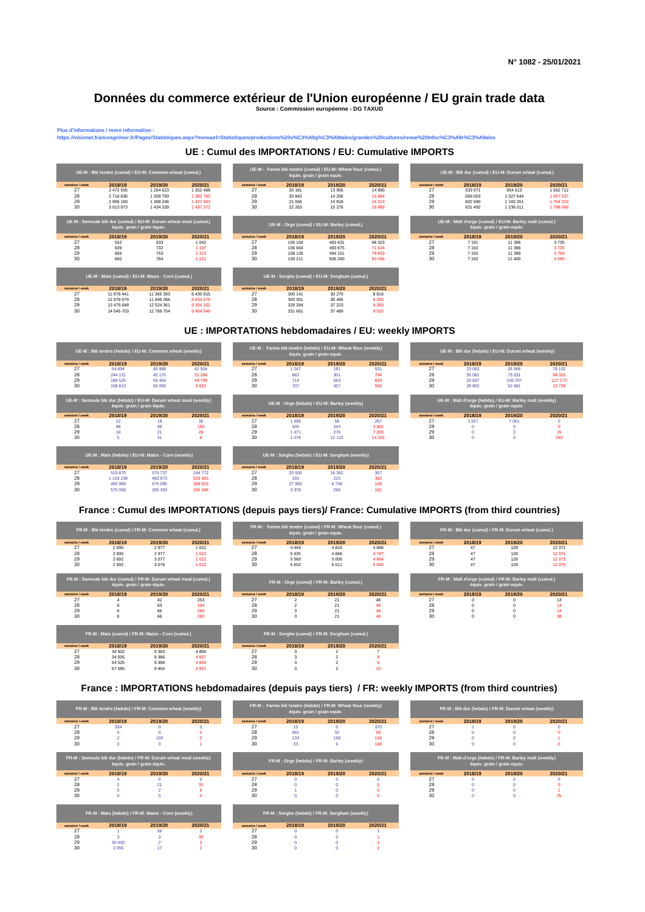## **Données du commerce extérieur de l'Union européenne / EU grain trade data Source : Commission européenne - DG TAXUD**

us d'informations / more information<br>:ps://visionet.franceagrimer.fr/Pages

## **UE : Cumul des IMPORTATIONS / EU: Cumulative IMPORTS**

**https://visionet.franceagrimer.fr/Pages/Statistiques.aspx?menuurl=Statistiques/productions%20v%C3%A9g%C3%A9tales/grandes%20cultures/revue%20Infoc%C3%A9r%C3%A9ales**



## **UE : IMPORTATIONS hebdomadaires / EU: weekly IMPORTS**



## **France : Cumul des IMPORTATIONS (depuis pays tiers)/ France: Cumulative IMPORTS (from third countries)**



**France : IMPORTATIONS hebdomadaires (depuis pays tiers) / FR: weekly IMPORTS (from third countries)**

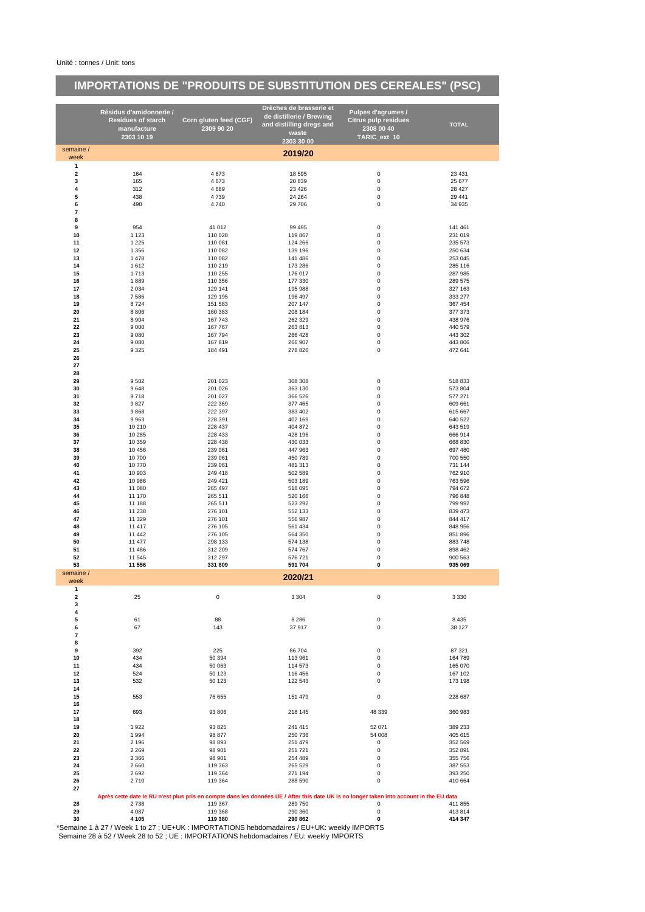# **IMPORTATIONS DE "PRODUITS DE SUBSTITUTION DES CEREALES" (PSC)**

|                              | Résidus d'amidonnerie /<br><b>Residues of starch</b><br>manufacture<br>2303 10 19                      | Corn gluten feed (CGF)<br>2309 90 20 | Drèches de brasserie et<br>de distillerie / Brewing<br>and distilling dregs and<br>waste                                                 | Pulpes d'agrumes /<br><b>Citrus pulp residues</b><br>2308 00 40<br>TARIC_ext 10 | <b>TOTAL</b>       |
|------------------------------|--------------------------------------------------------------------------------------------------------|--------------------------------------|------------------------------------------------------------------------------------------------------------------------------------------|---------------------------------------------------------------------------------|--------------------|
| semaine /                    |                                                                                                        |                                      | 2303 30 00                                                                                                                               |                                                                                 |                    |
| week                         |                                                                                                        |                                      | 2019/20                                                                                                                                  |                                                                                 |                    |
| $\mathbf{1}$                 |                                                                                                        |                                      |                                                                                                                                          |                                                                                 |                    |
| $\overline{\mathbf{2}}$<br>3 | 164<br>165                                                                                             | 4673<br>4673                         | 18 5 95<br>20 839                                                                                                                        | 0<br>0                                                                          | 23 4 31<br>25 677  |
| 4                            | 312                                                                                                    | 4689                                 | 23 4 26                                                                                                                                  | $\pmb{0}$                                                                       | 28 4 27            |
| 5                            | 438                                                                                                    | 4739                                 | 24 264                                                                                                                                   | 0                                                                               | 29 441             |
| 6<br>7                       | 490                                                                                                    | 4740                                 | 29 706                                                                                                                                   | 0                                                                               | 34 935             |
| 8                            |                                                                                                        |                                      |                                                                                                                                          |                                                                                 |                    |
| 9                            | 954                                                                                                    | 41 012                               | 99 4 95                                                                                                                                  | 0                                                                               | 141 461            |
| 10<br>11                     | 1 1 2 3                                                                                                | 110 028                              | 119 867                                                                                                                                  | 0<br>$\pmb{0}$                                                                  | 231 019            |
| 12                           | 1 2 2 5<br>1 3 5 6                                                                                     | 110 081<br>110 082                   | 124 266<br>139 196                                                                                                                       | 0                                                                               | 235 573<br>250 634 |
| 13                           | 1478                                                                                                   | 110 082                              | 141 486                                                                                                                                  | 0                                                                               | 253 045            |
| 14                           | 1612                                                                                                   | 110 219                              | 173 286                                                                                                                                  | 0                                                                               | 285 116            |
| 15<br>16                     | 1713<br>1889                                                                                           | 110 255<br>110 356                   | 176 017<br>177 330                                                                                                                       | $\pmb{0}$<br>0                                                                  | 287 985<br>289 575 |
| 17                           | 2 0 3 4                                                                                                | 129 141                              | 195 988                                                                                                                                  | 0                                                                               | 327 163            |
| 18                           | 7586                                                                                                   | 129 195                              | 196 497                                                                                                                                  | $\pmb{0}$                                                                       | 333 277            |
| 19<br>20                     | 8724<br>8806                                                                                           | 151 583<br>160 383                   | 207 147<br>208 184                                                                                                                       | 0<br>0                                                                          | 367 454<br>377 373 |
| 21                           | 8 9 0 4                                                                                                | 167743                               | 262 329                                                                                                                                  | 0                                                                               | 438 976            |
| 22                           | 9 0 0 0                                                                                                | 167 767                              | 263 813                                                                                                                                  | $\pmb{0}$                                                                       | 440 579            |
| 23<br>24                     | 9 0 8 0<br>9 0 8 0                                                                                     | 167 794<br>167819                    | 266 428<br>266 907                                                                                                                       | $\mathbf 0$<br>0                                                                | 443 302<br>443 806 |
| 25                           | 9 3 2 5                                                                                                | 184 491                              | 278 826                                                                                                                                  | $\pmb{0}$                                                                       | 472 641            |
| 26                           |                                                                                                        |                                      |                                                                                                                                          |                                                                                 |                    |
| 27<br>28                     |                                                                                                        |                                      |                                                                                                                                          |                                                                                 |                    |
| 29                           | 9 5 0 2                                                                                                | 201 023                              | 308 308                                                                                                                                  | $\pmb{0}$                                                                       | 518 833            |
| 30                           | 9648                                                                                                   | 201 026                              | 363 130                                                                                                                                  | 0                                                                               | 573 804            |
| 31<br>32                     | 9718                                                                                                   | 201 027                              | 366 526                                                                                                                                  | 0<br>0                                                                          | 577 271<br>609 661 |
| 33                           | 9827<br>9868                                                                                           | 222 369<br>222 397                   | 377 465<br>383 402                                                                                                                       | 0                                                                               | 615 667            |
| 34                           | 9963                                                                                                   | 228 391                              | 402 169                                                                                                                                  | 0                                                                               | 640 522            |
| 35                           | 10 210                                                                                                 | 228 437                              | 404 872                                                                                                                                  | 0                                                                               | 643 519            |
| 36<br>37                     | 10 285<br>10 359                                                                                       | 228 433<br>228 438                   | 428 196<br>430 033                                                                                                                       | $\pmb{0}$<br>0                                                                  | 666 914<br>668 830 |
| 38                           | 10 456                                                                                                 | 239 061                              | 447 963                                                                                                                                  | 0                                                                               | 697 480            |
| 39                           | 10700                                                                                                  | 239 061                              | 450 789                                                                                                                                  | 0                                                                               | 700 550            |
| 40<br>41                     | 10770<br>10 903                                                                                        | 239 061<br>249 418                   | 481 313<br>502 589                                                                                                                       | $\pmb{0}$<br>0                                                                  | 731 144<br>762 910 |
| 42                           | 10 986                                                                                                 | 249 421                              | 503 189                                                                                                                                  | 0                                                                               | 763 596            |
| 43                           | 11 080                                                                                                 | 265 497                              | 518 095                                                                                                                                  | $\pmb{0}$                                                                       | 794 672            |
| 44<br>45                     | 11 170<br>11 188                                                                                       | 265 511<br>265 511                   | 520 166<br>523 292                                                                                                                       | 0<br>0                                                                          | 796 848<br>799 992 |
| 46                           | 11 238                                                                                                 | 276 101                              | 552 133                                                                                                                                  | 0                                                                               | 839 473            |
| 47                           | 11 329                                                                                                 | 276 101                              | 556 987                                                                                                                                  | $\pmb{0}$                                                                       | 844 417            |
| 48<br>49                     | 11 417<br>11 442                                                                                       | 276 105<br>276 105                   | 561 434<br>564 350                                                                                                                       | 0<br>0                                                                          | 848 956<br>851 896 |
| 50                           | 11 477                                                                                                 | 298 133                              | 574 138                                                                                                                                  | 0                                                                               | 883748             |
| 51                           | 11 486                                                                                                 | 312 209                              | 574 767                                                                                                                                  | 0                                                                               | 898 462            |
| 52<br>53                     | 11 545                                                                                                 | 312 297                              | 576 721<br>591 704                                                                                                                       | 0<br>0                                                                          | 900 563            |
| semaine /                    | 11 556                                                                                                 | 331 809                              |                                                                                                                                          |                                                                                 | 935 069            |
| week                         |                                                                                                        |                                      | 2020/21                                                                                                                                  |                                                                                 |                    |
| 1<br>$\overline{\mathbf{2}}$ | 25                                                                                                     | 0                                    | 3 3 0 4                                                                                                                                  | 0                                                                               | 3 3 3 0            |
| 3                            |                                                                                                        |                                      |                                                                                                                                          |                                                                                 |                    |
| 4                            |                                                                                                        |                                      |                                                                                                                                          |                                                                                 |                    |
| 5<br>6                       | 61<br>67                                                                                               | 88<br>143                            | 8 2 8 6<br>37917                                                                                                                         | $\pmb{0}$<br>0                                                                  | 8 4 3 5<br>38 127  |
| $\overline{7}$               |                                                                                                        |                                      |                                                                                                                                          |                                                                                 |                    |
| 8                            |                                                                                                        |                                      |                                                                                                                                          |                                                                                 |                    |
| 9<br>10                      | 392<br>434                                                                                             | 225<br>50 394                        | 86 704<br>113 961                                                                                                                        | 0<br>0                                                                          | 87 321<br>164 789  |
| 11                           | 434                                                                                                    | 50 063                               | 114 573                                                                                                                                  | 0                                                                               | 165 070            |
| 12                           | 524                                                                                                    | 50 123                               | 116 456                                                                                                                                  | 0                                                                               | 167 102            |
| 13                           | 532                                                                                                    | 50 123                               | 122 543                                                                                                                                  | 0                                                                               | 173 198            |
| 14<br>15                     | 553                                                                                                    | 76 655                               | 151 479                                                                                                                                  | 0                                                                               | 228 687            |
| 16                           |                                                                                                        |                                      |                                                                                                                                          |                                                                                 |                    |
| 17                           | 693                                                                                                    | 93 806                               | 218 145                                                                                                                                  | 48 339                                                                          | 360 983            |
| 18<br>19                     | 1922                                                                                                   | 93 825                               | 241 415                                                                                                                                  | 52 071                                                                          | 389 233            |
| 20                           | 1994                                                                                                   | 98 877                               | 250 736                                                                                                                                  | 54 008                                                                          | 405 615            |
| 21                           | 2 1 9 6                                                                                                | 98 893                               | 251 479                                                                                                                                  | 0                                                                               | 352 569            |
| 22<br>23                     | 2 2 6 9<br>2 3 6 6                                                                                     | 98 901<br>98 901                     | 251 721<br>254 489                                                                                                                       | 0<br>0                                                                          | 352 891<br>355 756 |
| 24                           | 2660                                                                                                   | 119 363                              | 265 529                                                                                                                                  | 0                                                                               | 387 553            |
| 25                           | 2692                                                                                                   | 119 364                              | 271 194                                                                                                                                  | 0                                                                               | 393 250            |
| 26                           | 2710                                                                                                   | 119 364                              | 288 590                                                                                                                                  | 0                                                                               | 410 664            |
| 27                           |                                                                                                        |                                      | Après cette date le RU n'est plus pris en compte dans les données UE / After this date UK is no longer taken into account in the EU data |                                                                                 |                    |
| 28                           | 2738                                                                                                   | 119 367                              | 289 750                                                                                                                                  | 0                                                                               | 411 855            |
| 29                           | 4 0 8 7                                                                                                | 119 368                              | 290 360                                                                                                                                  | 0                                                                               | 413814             |
| 30                           | 4 1 0 5<br>*Semaine 1 à 27 / Week 1 to 27 ; UE+UK : IMPORTATIONS hebdomadaires / EU+UK: weekly IMPORTS | 119 380                              | 290 862                                                                                                                                  | 0                                                                               | 414 347            |

Semaine 28 à 52 / Week 28 to 52 ; UE : IMPORTATIONS hebdomadaires / EU: weekly IMPORTS